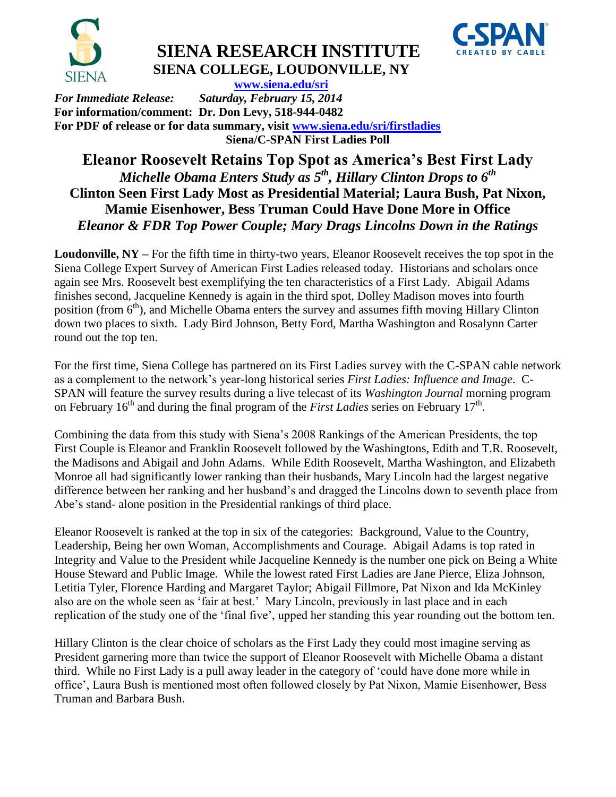

# **SIENA RESEARCH INSTITUTE SIENA COLLEGE, LOUDONVILLE, NY**



 **[www.siena.edu/sri](http://www.siena.edu/sri)** *For Immediate Release: Saturday, February 15, 2014* **For information/comment: Dr. Don Levy, 518-944-0482 For PDF of release or for data summary, visit [www.siena.edu/sri/firstladies](http://www.siena.edu/sri/firstladies) Siena/C-SPAN First Ladies Poll**

## **Eleanor Roosevelt Retains Top Spot as America's Best First Lady** *Michelle Obama Enters Study as 5th, Hillary Clinton Drops to 6th* **Clinton Seen First Lady Most as Presidential Material; Laura Bush, Pat Nixon, Mamie Eisenhower, Bess Truman Could Have Done More in Office** *Eleanor & FDR Top Power Couple; Mary Drags Lincolns Down in the Ratings*

**Loudonville, NY –** For the fifth time in thirty-two years, Eleanor Roosevelt receives the top spot in the Siena College Expert Survey of American First Ladies released today. Historians and scholars once again see Mrs. Roosevelt best exemplifying the ten characteristics of a First Lady. Abigail Adams finishes second, Jacqueline Kennedy is again in the third spot, Dolley Madison moves into fourth position (from  $6<sup>th</sup>$ ), and Michelle Obama enters the survey and assumes fifth moving Hillary Clinton down two places to sixth. Lady Bird Johnson, Betty Ford, Martha Washington and Rosalynn Carter round out the top ten.

For the first time, Siena College has partnered on its First Ladies survey with the C-SPAN cable network as a complement to the network's year-long historical series *First Ladies: Influence and Image*. C-SPAN will feature the survey results during a live telecast of its *Washington Journal* morning program on February 16<sup>th</sup> and during the final program of the *First Ladies* series on February 17<sup>th</sup>.

Combining the data from this study with Siena's 2008 Rankings of the American Presidents, the top First Couple is Eleanor and Franklin Roosevelt followed by the Washingtons, Edith and T.R. Roosevelt, the Madisons and Abigail and John Adams. While Edith Roosevelt, Martha Washington, and Elizabeth Monroe all had significantly lower ranking than their husbands, Mary Lincoln had the largest negative difference between her ranking and her husband's and dragged the Lincolns down to seventh place from Abe's stand- alone position in the Presidential rankings of third place.

Eleanor Roosevelt is ranked at the top in six of the categories: Background, Value to the Country, Leadership, Being her own Woman, Accomplishments and Courage. Abigail Adams is top rated in Integrity and Value to the President while Jacqueline Kennedy is the number one pick on Being a White House Steward and Public Image. While the lowest rated First Ladies are Jane Pierce, Eliza Johnson, Letitia Tyler, Florence Harding and Margaret Taylor; Abigail Fillmore, Pat Nixon and Ida McKinley also are on the whole seen as 'fair at best.' Mary Lincoln, previously in last place and in each replication of the study one of the 'final five', upped her standing this year rounding out the bottom ten.

Hillary Clinton is the clear choice of scholars as the First Lady they could most imagine serving as President garnering more than twice the support of Eleanor Roosevelt with Michelle Obama a distant third. While no First Lady is a pull away leader in the category of 'could have done more while in office', Laura Bush is mentioned most often followed closely by Pat Nixon, Mamie Eisenhower, Bess Truman and Barbara Bush.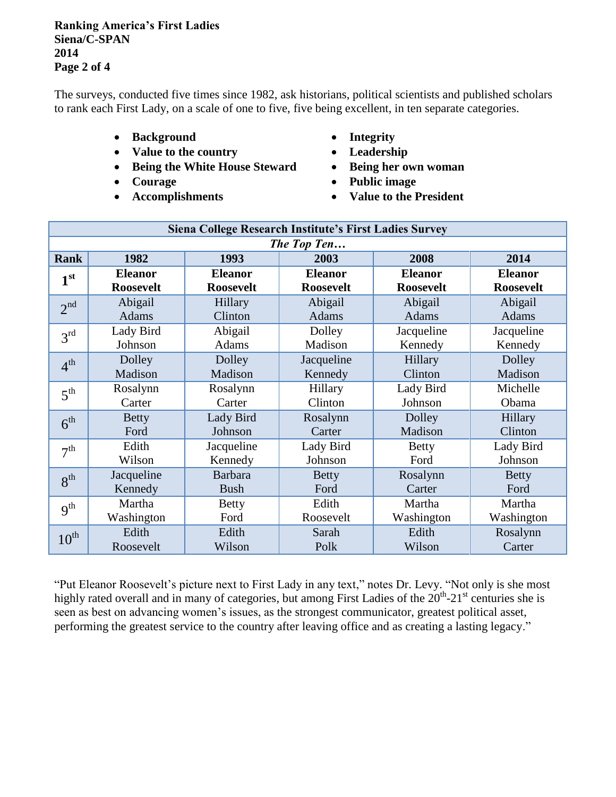### **Ranking America's First Ladies Siena/C-SPAN 2014 Page 2 of 4**

The surveys, conducted five times since 1982, ask historians, political scientists and published scholars to rank each First Lady, on a scale of one to five, five being excellent, in ten separate categories.

- **Background Integrity**
- Value to the country **•** Leadership
- **Being the White House Steward Being her own woman**
- 
- 
- 
- 
- 
- Courage  **Public image**
- **Accomplishments Value to the President**

| Siena College Research Institute's First Ladies Survey |                  |                  |                  |                  |                  |  |  |  |  |
|--------------------------------------------------------|------------------|------------------|------------------|------------------|------------------|--|--|--|--|
| The Top Ten                                            |                  |                  |                  |                  |                  |  |  |  |  |
| <b>Rank</b>                                            | 1982             | 1993             | 2003             | 2008             | 2014             |  |  |  |  |
| 1 <sup>st</sup>                                        | <b>Eleanor</b>   | <b>Eleanor</b>   | <b>Eleanor</b>   | <b>Eleanor</b>   | <b>Eleanor</b>   |  |  |  |  |
|                                                        | <b>Roosevelt</b> | <b>Roosevelt</b> | <b>Roosevelt</b> | <b>Roosevelt</b> | <b>Roosevelt</b> |  |  |  |  |
| 2 <sup>nd</sup>                                        | Abigail          | Hillary          | Abigail          | Abigail          | Abigail          |  |  |  |  |
|                                                        | <b>Adams</b>     | Clinton          | Adams            | <b>Adams</b>     | <b>Adams</b>     |  |  |  |  |
| 3 <sup>rd</sup>                                        | Lady Bird        | Abigail          | Dolley           | Jacqueline       | Jacqueline       |  |  |  |  |
|                                                        | Johnson          | Adams            | Madison          | Kennedy          | Kennedy          |  |  |  |  |
| 4 <sup>th</sup>                                        | Dolley           | Dolley           | Jacqueline       | Hillary          | Dolley           |  |  |  |  |
|                                                        | Madison          | Madison          | Kennedy          | Clinton          | Madison          |  |  |  |  |
| 5 <sup>th</sup>                                        | Rosalynn         | Rosalynn         | Hillary          | Lady Bird        | Michelle         |  |  |  |  |
|                                                        | Carter           | Carter           | Clinton          | Johnson          | Obama            |  |  |  |  |
| 6 <sup>th</sup>                                        | <b>Betty</b>     | Lady Bird        | Rosalynn         | Dolley           | Hillary          |  |  |  |  |
|                                                        | Ford             | Johnson          | Carter           | Madison          | Clinton          |  |  |  |  |
| 7 <sup>th</sup>                                        | Edith            | Jacqueline       | Lady Bird        | <b>Betty</b>     | Lady Bird        |  |  |  |  |
|                                                        | Wilson           | Kennedy          | Johnson          | Ford             | Johnson          |  |  |  |  |
| 8 <sup>th</sup>                                        | Jacqueline       | <b>Barbara</b>   | <b>Betty</b>     | Rosalynn         | <b>Betty</b>     |  |  |  |  |
|                                                        | Kennedy          | <b>Bush</b>      | Ford             | Carter           | Ford             |  |  |  |  |
| 9 <sup>th</sup>                                        | Martha           | <b>Betty</b>     | Edith            | Martha           | Martha           |  |  |  |  |
|                                                        | Washington       | Ford             | Roosevelt        | Washington       | Washington       |  |  |  |  |
| $10^{th}$                                              | Edith            | Edith            | Sarah            | Edith            | Rosalynn         |  |  |  |  |
|                                                        | Roosevelt        | Wilson           | Polk             | Wilson           | Carter           |  |  |  |  |

"Put Eleanor Roosevelt's picture next to First Lady in any text," notes Dr. Levy. "Not only is she most highly rated overall and in many of categories, but among First Ladies of the  $20^{th}$ - $21^{st}$  centuries she is seen as best on advancing women's issues, as the strongest communicator, greatest political asset, performing the greatest service to the country after leaving office and as creating a lasting legacy."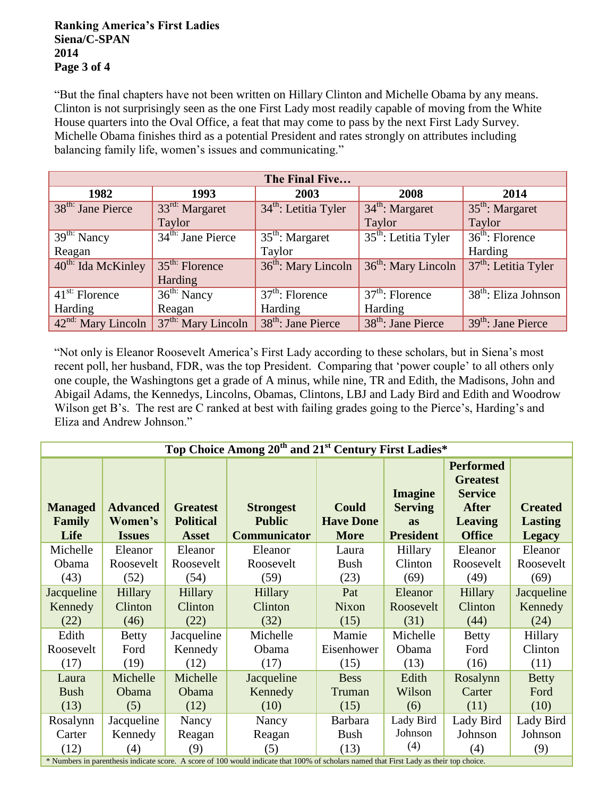### **Ranking America's First Ladies Siena/C-SPAN 2014 Page 3 of 4**

"But the final chapters have not been written on Hillary Clinton and Michelle Obama by any means. Clinton is not surprisingly seen as the one First Lady most readily capable of moving from the White House quarters into the Oval Office, a feat that may come to pass by the next First Lady Survey. Michelle Obama finishes third as a potential President and rates strongly on attributes including balancing family life, women's issues and communicating."

| The Final Five                 |                               |                                        |                                |                        |  |  |  |  |
|--------------------------------|-------------------------------|----------------------------------------|--------------------------------|------------------------|--|--|--|--|
| 1982                           | 1993                          | 2003                                   | 2008                           | 2014                   |  |  |  |  |
| 38 <sup>th:</sup> Jane Pierce  | 33rd: Margaret                | $34th$ : Letitia Tyler                 | $34^{\text{th}}$ : Margaret    | $35th$ : Margaret      |  |  |  |  |
|                                | Taylor                        |                                        | Taylor                         | Taylor                 |  |  |  |  |
| $39th$ Nancy                   | 34 <sup>th:</sup> Jane Pierce | $35th$ : Margaret                      | $35th$ : Letitia Tyler         | $36th$ : Florence      |  |  |  |  |
| Reagan                         |                               | Taylor                                 |                                | Harding                |  |  |  |  |
| 40 <sup>th:</sup> Ida McKinley | $35th$ : Florence             | 36 <sup>th</sup> : Mary Lincoln        | $36th$ : Mary Lincoln          | $37th$ : Letitia Tyler |  |  |  |  |
|                                | Harding                       |                                        |                                |                        |  |  |  |  |
| $41st$ : Florence              | $36^{\text{th}}$ Nancy        | $\overline{37}^{\text{th}}$ : Florence | $37th$ : Florence              | $38th$ : Eliza Johnson |  |  |  |  |
| Harding                        | Reagan                        | Harding                                | Harding                        |                        |  |  |  |  |
| 42 <sup>nd:</sup> Mary Lincoln | $37th$ : Mary Lincoln         | 38 <sup>th</sup> : Jane Pierce         | 38 <sup>th</sup> : Jane Pierce | $39th$ : Jane Pierce   |  |  |  |  |

"Not only is Eleanor Roosevelt America's First Lady according to these scholars, but in Siena's most recent poll, her husband, FDR, was the top President. Comparing that 'power couple' to all others only one couple, the Washingtons get a grade of A minus, while nine, TR and Edith, the Madisons, John and Abigail Adams, the Kennedys, Lincolns, Obamas, Clintons, LBJ and Lady Bird and Edith and Woodrow Wilson get B's. The rest are C ranked at best with failing grades going to the Pierce's, Harding's and Eliza and Andrew Johnson."

| Top Choice Among 20 <sup>th</sup> and 21 <sup>st</sup> Century First Ladies*                                                            |                                             |                                                     |                                                          |                                                 |                                                                   |                                                                                                          |                                                   |  |  |
|-----------------------------------------------------------------------------------------------------------------------------------------|---------------------------------------------|-----------------------------------------------------|----------------------------------------------------------|-------------------------------------------------|-------------------------------------------------------------------|----------------------------------------------------------------------------------------------------------|---------------------------------------------------|--|--|
| <b>Managed</b><br>Family<br>Life                                                                                                        | <b>Advanced</b><br>Women's<br><b>Issues</b> | <b>Greatest</b><br><b>Political</b><br><b>Asset</b> | <b>Strongest</b><br><b>Public</b><br><b>Communicator</b> | <b>Could</b><br><b>Have Done</b><br><b>More</b> | <b>Imagine</b><br><b>Serving</b><br><b>as</b><br><b>President</b> | <b>Performed</b><br><b>Greatest</b><br><b>Service</b><br><b>After</b><br><b>Leaving</b><br><b>Office</b> | <b>Created</b><br><b>Lasting</b><br><b>Legacy</b> |  |  |
| Michelle                                                                                                                                | Eleanor                                     | Eleanor                                             | Eleanor                                                  | Laura                                           | Hillary                                                           | Eleanor                                                                                                  | Eleanor                                           |  |  |
| Obama                                                                                                                                   | Roosevelt                                   | Roosevelt                                           | Roosevelt                                                | Bush                                            | Clinton                                                           | Roosevelt                                                                                                | Roosevelt                                         |  |  |
| (43)                                                                                                                                    | (52)                                        | (54)                                                | (59)                                                     | (23)                                            | (69)                                                              | (49)                                                                                                     | (69)                                              |  |  |
| Jacqueline                                                                                                                              | Hillary                                     | <b>Hillary</b>                                      | Hillary                                                  | Pat                                             | Eleanor                                                           | Hillary                                                                                                  | Jacqueline                                        |  |  |
| Kennedy                                                                                                                                 | Clinton                                     | Clinton                                             | Clinton                                                  | <b>Nixon</b>                                    | Roosevelt                                                         | Clinton                                                                                                  | Kennedy                                           |  |  |
| (22)                                                                                                                                    | (46)                                        | (22)                                                | (32)                                                     | (15)                                            | (31)                                                              | (44)                                                                                                     | (24)                                              |  |  |
| Edith                                                                                                                                   | <b>Betty</b>                                | Jacqueline                                          | Michelle                                                 | Mamie                                           | Michelle                                                          | <b>Betty</b>                                                                                             | Hillary                                           |  |  |
| Roosevelt                                                                                                                               | Ford                                        | Kennedy                                             | Obama                                                    | Eisenhower                                      | Obama                                                             | Ford                                                                                                     | Clinton                                           |  |  |
| (17)                                                                                                                                    | (19)                                        | (12)                                                | (17)                                                     | (15)                                            | (13)                                                              | (16)                                                                                                     | (11)                                              |  |  |
| Laura                                                                                                                                   | Michelle                                    | Michelle                                            | Jacqueline                                               | <b>Bess</b>                                     | Edith                                                             | Rosalynn                                                                                                 | <b>Betty</b>                                      |  |  |
| <b>Bush</b>                                                                                                                             | Obama                                       | Obama                                               | Kennedy                                                  | Truman                                          | Wilson                                                            | Carter                                                                                                   | Ford                                              |  |  |
| (13)                                                                                                                                    | (5)                                         | (12)                                                | (10)                                                     | (15)                                            | (6)                                                               | (11)                                                                                                     | (10)                                              |  |  |
| Rosalynn                                                                                                                                | Jacqueline                                  | Nancy                                               | Nancy                                                    | <b>Barbara</b>                                  | Lady Bird                                                         | Lady Bird                                                                                                | Lady Bird                                         |  |  |
| Carter                                                                                                                                  | Kennedy                                     | Reagan                                              | Reagan                                                   | <b>Bush</b>                                     | Johnson                                                           | Johnson                                                                                                  | Johnson                                           |  |  |
| (12)                                                                                                                                    | (4)                                         | (9)                                                 | (5)                                                      | (13)                                            | (4)                                                               | (4)                                                                                                      | (9)                                               |  |  |
| * Numbers in parenthesis indicate score. A score of 100 would indicate that 100% of scholars named that First Lady as their top choice. |                                             |                                                     |                                                          |                                                 |                                                                   |                                                                                                          |                                                   |  |  |